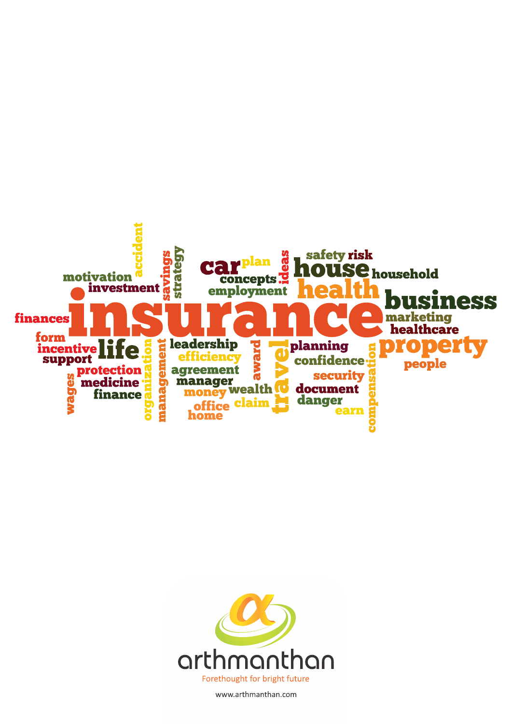



www.arthmanthan.com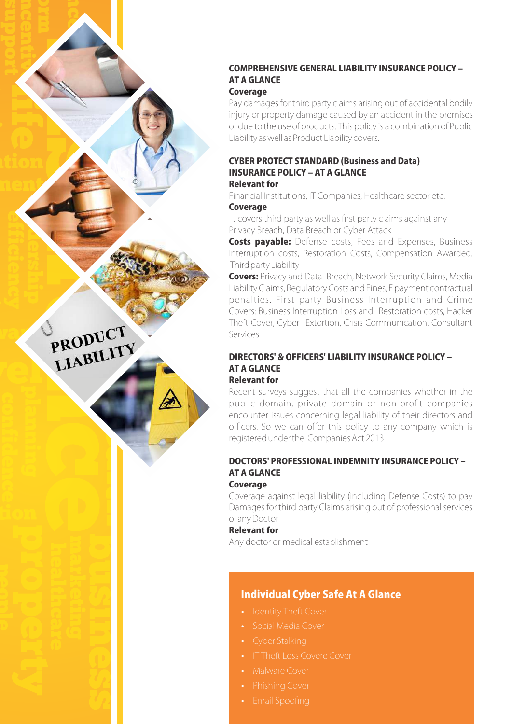# COMPREHENSIVE GENERAL LIABILITY INSURANCE POLICY -**AT A GLANCE**

**Coverage** 

Pay damages for third party claims arising out of accidental bodily injury or property damage caused by an accident in the premises or due to the use of products. This policy is a combination of Public Liability as well as Product Liability covers.

#### **Relevant for CYBER PROTECT STANDARD (Business and Data) INSURANCE POLICY - AT A GLANCE**

Financial Institutions, IT Companies, Healthcare sector etc. **Coverage** 

It covers third party as well as first party claims against any Privacy Breach, Data Breach or Cyber Attack.

**Costs payable:** Defense costs, Fees and Expenses, Business Interruption costs, Restoration Costs, Compensation Awarded. Third party Liability

Covers: Privacy and Data Breach, Network Security Claims, Media Liability Claims, Regulatory Costs and Fines, E payment contractual penalties. First party Business Interruption and Crime Covers: Business Interruption Loss and Restoration costs, Hacker Theft Cover, Cyber Extortion, Crisis Communication, Consultant Services

#### DIRECTORS' & OFFICERS' I JABILITY INSURANCE POLICY -**AT A GLANCE Relevant for**

Recent surveys suggest that all the companies whether in the public domain, private domain or non-profit companies encounter issues concerning legal liability of their directors and officers. So we can offer this policy to any company which is registered under the Companies Act 2013.

## DOCTORS' PROFESSIONAL INDEMNITY INSURANCE POLICY -**AT A GLANCE**

### **Coverage**

PRODUCT

**PRODUCTY** 

Coverage against legal liability (including Defense Costs) to pay Damages for third party Claims arising out of professional services ofanyDoctor

### **Relevant for**

Any doctor or medical establishment

## Individual Cyber Safe At A Glance

- 
- 
- 
- 
- Malware Cover
- 
-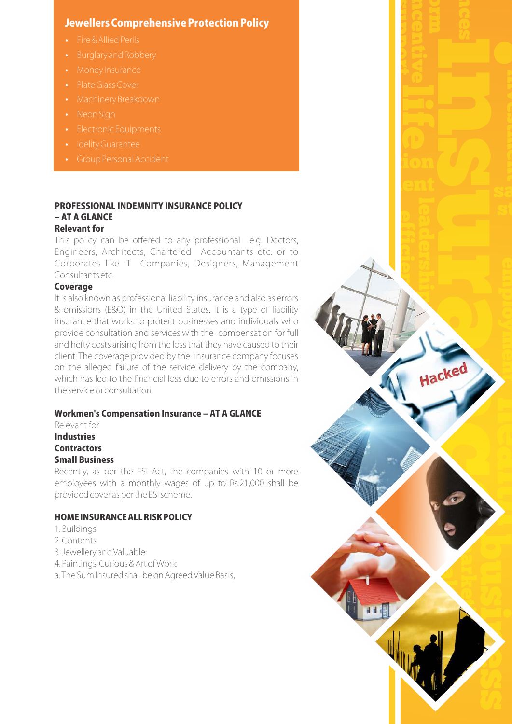## Jewellers Comprehensive Protection Policy

- 
- 
- 
- 
- 
- 
- 
- 
- 

#### PROFESSIONAL INDEMNITY INSURANCE POLICY - AT A GLANCE **Relevant for**

This policy can be offered to any professional e.g. Doctors, Engineers, Architects, Chartered Accountants etc. or to Corporates like IT Companies, Designers, Management Consultantsetc.

### Coverage

It is also known as professional liability insurance and also as errors & omissions (E&O) in the United States. It is a type of liability insurance that works to protect businesses and individuals who provide consultation and services with the compensation for full and hefty costs arising from the loss that they have caused to their client. The coverage provided by the insurance company focuses on the alleged failure of the service delivery by the company, which has led to the financial loss due to errors and omissions in theserviceorconsultation.

Hacked

### Workmen's Compensation Insurance - AT A GLANCE

Relevant for **Industries Contractors Small Business** 

Recently, as per the ESI Act, the companies with 10 or more employees with a monthly wages of up to Rs.21,000 shall be provided cover as per the ESI scheme.

### HOMEINSURANCEALLRISKPOLICY

- 1.Buildings
- 2.Contents
- 3.JewelleryandValuable:
- 4.Paintings,Curious&ArtofWork:
- a. The Sum Insured shall be on Agreed Value Basis,